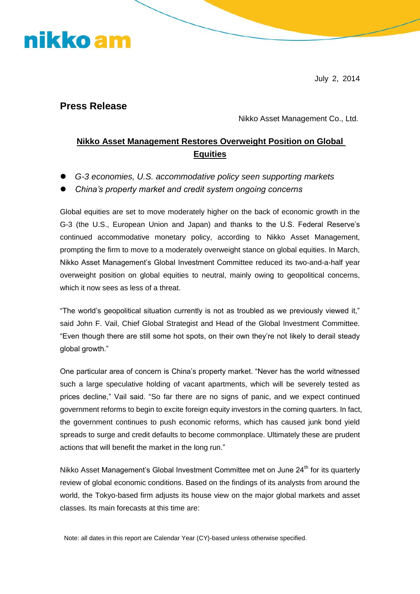# nikko am

July 2, 2014

#### **Press Release**

Nikko Asset Management Co., Ltd.

#### **Nikko Asset Management Restores Overweight Position on Global Equities**

- *G-3 economies, U.S. accommodative policy seen supporting markets*
- *China's property market and credit system ongoing concerns*

Global equities are set to move moderately higher on the back of economic growth in the G-3 (the U.S., European Union and Japan) and thanks to the U.S. Federal Reserve's continued accommodative monetary policy, according to Nikko Asset Management, prompting the firm to move to a moderately overweight stance on global equities. In March, Nikko Asset Management's Global Investment Committee reduced its two-and-a-half year overweight position on global equities to neutral, mainly owing to geopolitical concerns, which it now sees as less of a threat.

"The world's geopolitical situation currently is not as troubled as we previously viewed it," said John F. Vail, Chief Global Strategist and Head of the Global Investment Committee. "Even though there are still some hot spots, on their own they're not likely to derail steady global growth."

One particular area of concern is China's property market. "Never has the world witnessed such a large speculative holding of vacant apartments, which will be severely tested as prices decline," Vail said. "So far there are no signs of panic, and we expect continued government reforms to begin to excite foreign equity investors in the coming quarters. In fact, the government continues to push economic reforms, which has caused junk bond yield spreads to surge and credit defaults to become commonplace. Ultimately these are prudent actions that will benefit the market in the long run."

Nikko Asset Management's Global Investment Committee met on June 24<sup>th</sup> for its quarterly review of global economic conditions. Based on the findings of its analysts from around the world, the Tokyo-based firm adjusts its house view on the major global markets and asset classes. Its main forecasts at this time are:

Note: all dates in this report are Calendar Year (CY)-based unless otherwise specified.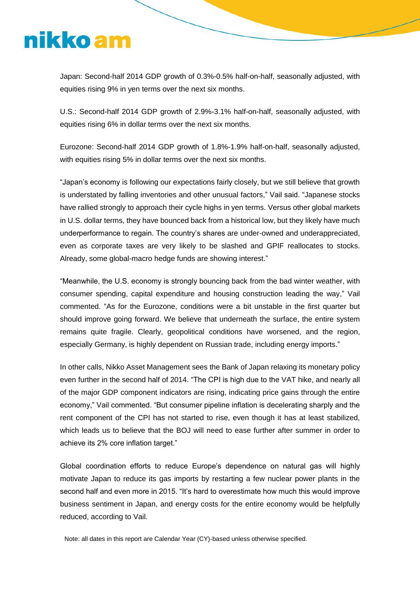# nikko am

Japan: Second-half 2014 GDP growth of 0.3%-0.5% half-on-half, seasonally adjusted, with equities rising 9% in yen terms over the next six months.

U.S.: Second-half 2014 GDP growth of 2.9%-3.1% half-on-half, seasonally adjusted, with equities rising 6% in dollar terms over the next six months.

Eurozone: Second-half 2014 GDP growth of 1.8%-1.9% half-on-half, seasonally adjusted, with equities rising 5% in dollar terms over the next six months.

"Japan's economy is following our expectations fairly closely, but we still believe that growth is understated by falling inventories and other unusual factors," Vail said. "Japanese stocks have rallied strongly to approach their cycle highs in yen terms. Versus other global markets in U.S. dollar terms, they have bounced back from a historical low, but they likely have much underperformance to regain. The country's shares are under-owned and underappreciated, even as corporate taxes are very likely to be slashed and GPIF reallocates to stocks. Already, some global-macro hedge funds are showing interest."

"Meanwhile, the U.S. economy is strongly bouncing back from the bad winter weather, with consumer spending, capital expenditure and housing construction leading the way," Vail commented. "As for the Eurozone, conditions were a bit unstable in the first quarter but should improve going forward. We believe that underneath the surface, the entire system remains quite fragile. Clearly, geopolitical conditions have worsened, and the region, especially Germany, is highly dependent on Russian trade, including energy imports."

In other calls, Nikko Asset Management sees the Bank of Japan relaxing its monetary policy even further in the second half of 2014. "The CPI is high due to the VAT hike, and nearly all of the major GDP component indicators are rising, indicating price gains through the entire economy," Vail commented. "But consumer pipeline inflation is decelerating sharply and the rent component of the CPI has not started to rise, even though it has at least stabilized, which leads us to believe that the BOJ will need to ease further after summer in order to achieve its 2% core inflation target."

Global coordination efforts to reduce Europe's dependence on natural gas will highly motivate Japan to reduce its gas imports by restarting a few nuclear power plants in the second half and even more in 2015. "It's hard to overestimate how much this would improve business sentiment in Japan, and energy costs for the entire economy would be helpfully reduced, according to Vail.

Note: all dates in this report are Calendar Year (CY)-based unless otherwise specified.